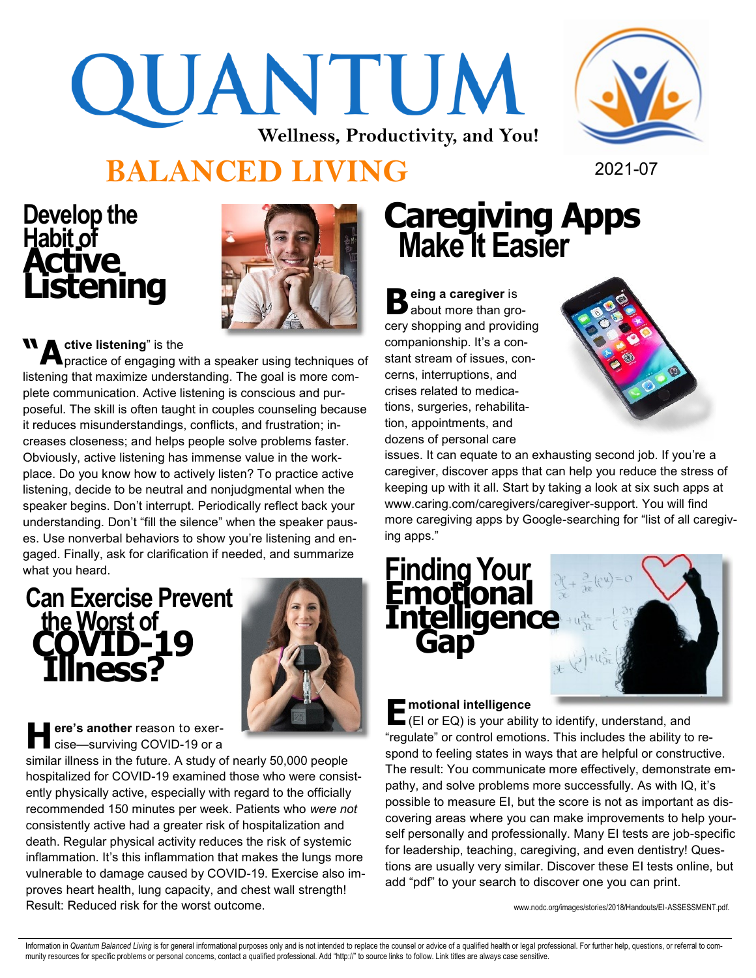## QUANTUM **Wellness, Productivity, and You!**



### **BALANCED LIVING** 2021-07

## **Develop the**  Habit of<br>**Active<br>Listening**



**M A** ctive listening" is the<br> **A** practice of engaging w practice of engaging with a speaker using techniques of listening that maximize understanding. The goal is more complete communication. Active listening is conscious and purposeful. The skill is often taught in couples counseling because it reduces misunderstandings, conflicts, and frustration; increases closeness; and helps people solve problems faster. Obviously, active listening has immense value in the workplace. Do you know how to actively listen? To practice active listening, decide to be neutral and nonjudgmental when the speaker begins. Don't interrupt. Periodically reflect back your understanding. Don't "fill the silence" when the speaker pauses. Use nonverbal behaviors to show you're listening and engaged. Finally, ask for clarification if needed, and summarize what you heard.

### **Can Exercise Prevent the Worst of Illness?**



**H ere's another** reason to exercise—surviving COVID-19 or a

similar illness in the future. A study of nearly 50,000 people hospitalized for COVID-19 examined those who were consistently physically active, especially with regard to the officially recommended 150 minutes per week. Patients who *were not* consistently active had a greater risk of hospitalization and death. Regular physical activity reduces the risk of systemic inflammation. It's this inflammation that makes the lungs more vulnerable to damage caused by COVID-19. Exercise also improves heart health, lung capacity, and chest wall strength! Result: Reduced risk for the worst outcome.

### **Caregiving Apps Make It Easier**

**B** eing a caregiver is<br> **B** about more than gro about more than grocery shopping and providing companionship. It's a constant stream of issues, concerns, interruptions, and crises related to medications, surgeries, rehabilitation, appointments, and dozens of personal care



issues. It can equate to an exhausting second job. If you're a caregiver, discover apps that can help you reduce the stress of keeping up with it all. Start by taking a look at six such apps at www.caring.com/caregivers/caregiver-support. You will find more caregiving apps by Google-searching for "list of all caregiving apps."



### **motional intelligence**

**E** motional intelligence<br>
(EI or EQ) is your ability to identify, understand, and "regulate" or control emotions. This includes the ability to respond to feeling states in ways that are helpful or constructive. The result: You communicate more effectively, demonstrate empathy, and solve problems more successfully. As with IQ, it's possible to measure EI, but the score is not as important as discovering areas where you can make improvements to help yourself personally and professionally. Many EI tests are job-specific for leadership, teaching, caregiving, and even dentistry! Questions are usually very similar. Discover these EI tests online, but add "pdf" to your search to discover one you can print.

www.nodc.org/images/stories/2018/Handouts/EI-ASSESSMENT.pdf.

Information in Quantum Balanced Living is for general informational purposes only and is not intended to replace the counsel or advice of a qualified health or legal professional. For further help, questions, or referral t munity resources for specific problems or personal concerns, contact a qualified professional. Add "http://" to source links to follow. Link titles are always case sensitive.